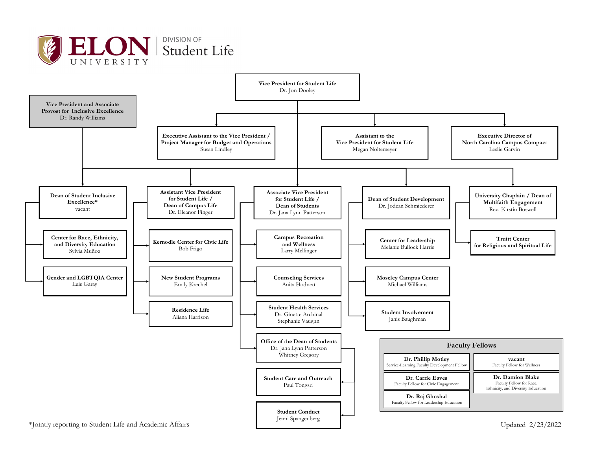

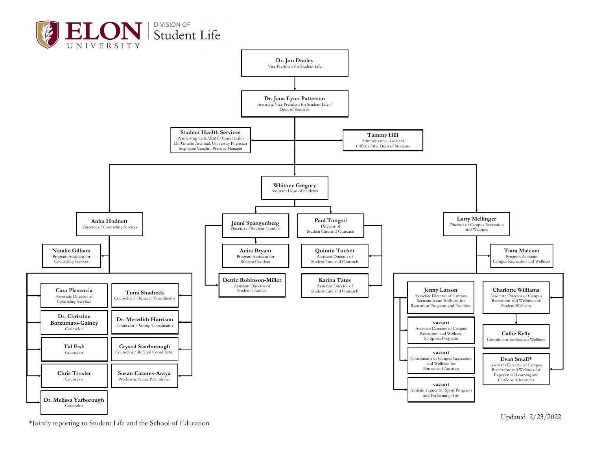



\*Jointly reporting to Student Life and the School of Education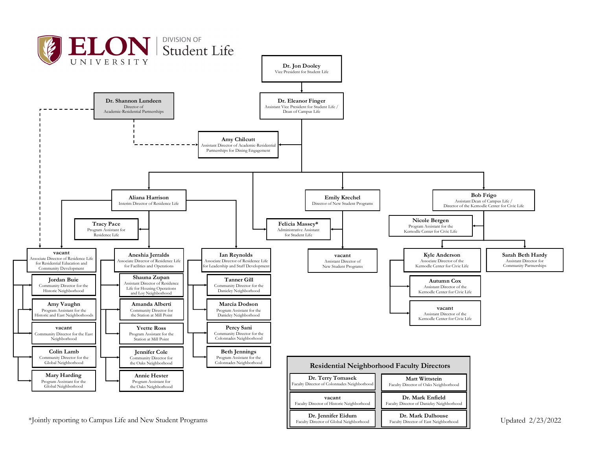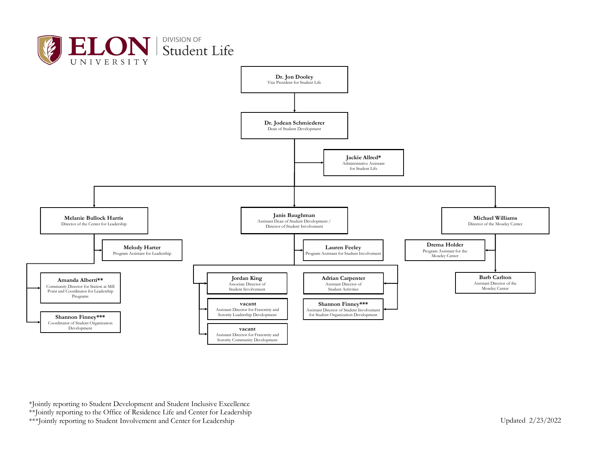

\*Jointly reporting to Student Development and Student Inclusive Excellence \*\*Jointly reporting to the Office of Residence Life and Center for Leadership \*\*\*Jointly reporting to Student Involvement and Center for Leadership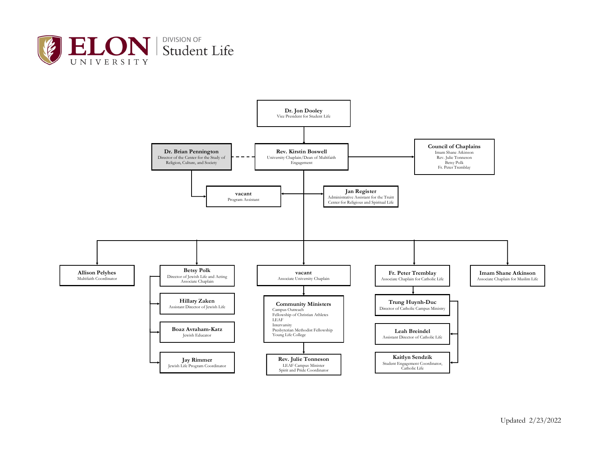